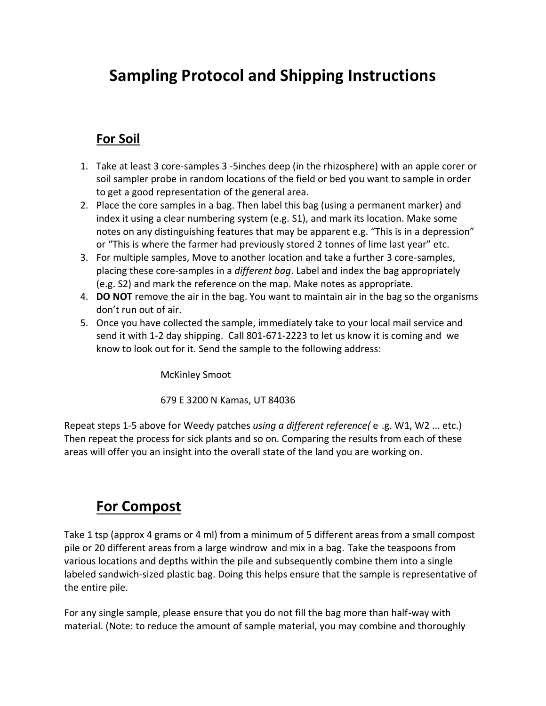## **Sampling Protocol and Shipping Instructions**

## **For Soil**

- 1. Take at least 3 core-samples 3 -5inches deep (in the rhizosphere) with an apple corer or soil sampler probe in random locations of the field or bed you want to sample in order to get a good representation of the general area.
- 2. Place the core samples in a bag. Then label this bag (using a permanent marker) and index it using a clear numbering system (e.g. S1), and mark its location. Make some notes on any distinguishing features that may be apparent e.g. "This is in a depression" or "This is where the farmer had previously stored 2 tonnes of lime last year" etc.
- 3. For multiple samples, Move to another location and take a further 3 core-samples, placing these core-samples in a *different bag*. Label and index the bag appropriately (e.g. S2) and mark the reference on the map. Make notes as appropriate.
- 4. **DO NOT** remove the air in the bag. You want to maintain air in the bag so the organisms don't run out of air.
- 5. Once you have collected the sample, immediately take to your local mail service and send it with 1-2 day shipping. Call 801-671-2223 to let us know it is coming and we know to look out for it. Send the sample to the following address:

McKinley Smoot

679 E 3200 N Kamas, UT 84036

Repeat steps 1-5 above for Weedy patches *using a different reference(* e .g. W1, W2 ... etc.) Then repeat the process for sick plants and so on. Comparing the results from each of these areas will offer you an insight into the overall state of the land you are working on.

## **For Compost**

Take 1 tsp (approx 4 grams or 4 ml) from a minimum of 5 different areas from a small compost pile or 20 different areas from a large windrow and mix in a bag. Take the teaspoons from various locations and depths within the pile and subsequently combine them into a single labeled sandwich-sized plastic bag. Doing this helps ensure that the sample is representative of the entire pile.

For any single sample, please ensure that you do not fill the bag more than half-way with material. (Note: to reduce the amount of sample material, you may combine and thoroughly